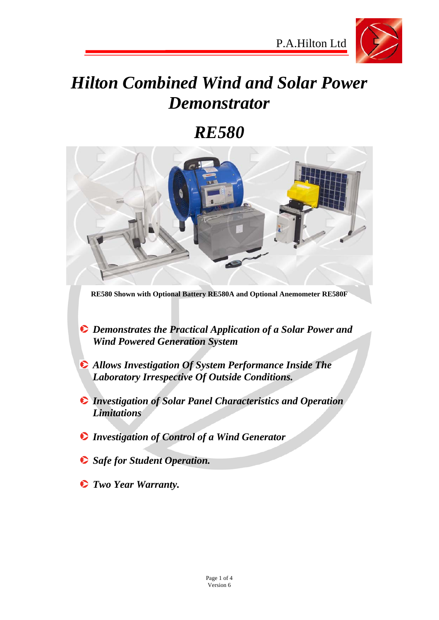

# *Hilton Combined Wind and Solar Power Demonstrator*

# *RE580*



**RE580 Shown with Optional Battery RE580A and Optional Anemometer RE580F**

- *Demonstrates the Practical Application of a Solar Power and Wind Powered Generation System*
- *Allows Investigation Of System Performance Inside The Laboratory Irrespective Of Outside Conditions.*
- *Investigation of Solar Panel Characteristics and Operation Limitations*
- *Investigation of Control of a Wind Generator*
- **Safe for Student Operation.**
- *Two Year Warranty.*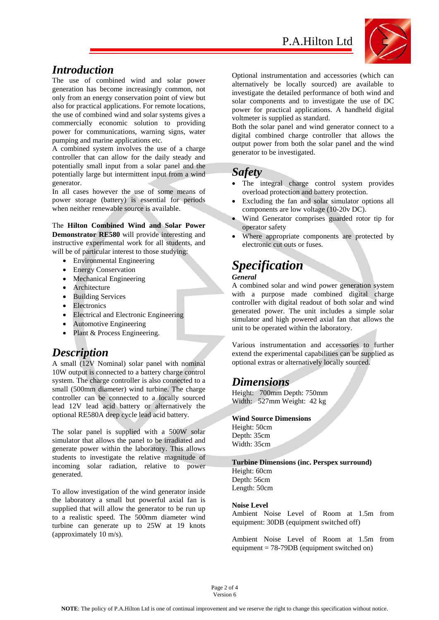

#### *Introduction*

The use of combined wind and solar power generation has become increasingly common, not only from an energy conservation point of view but also for practical applications. For remote locations, the use of combined wind and solar systems gives a commercially economic solution to providing power for communications, warning signs, water pumping and marine applications etc.

A combined system involves the use of a charge controller that can allow for the daily steady and potentially small input from a solar panel and the potentially large but intermittent input from a wind generator.

In all cases however the use of some means of power storage (battery) is essential for periods when neither renewable source is available.

The **Hilton Combined Wind and Solar Power Demonstrator RE580** will provide interesting and instructive experimental work for all students, and will be of particular interest to those studying:

- Environmental Engineering
- Energy Conservation
- Mechanical Engineering
- Architecture
- Building Services
- Electronics
- Electrical and Electronic Engineering
- Automotive Engineering
- Plant & Process Engineering.

#### *Description*

A small (12V Nominal) solar panel with nominal 10W output is connected to a battery charge control system. The charge controller is also connected to a small (500mm diameter) wind turbine. The charge controller can be connected to a locally sourced lead 12V lead acid battery or alternatively the optional RE580A deep cycle lead acid battery.

The solar panel is supplied with a 500W solar simulator that allows the panel to be irradiated and generate power within the laboratory. This allows students to investigate the relative magnitude of incoming solar radiation, relative to power generated.

To allow investigation of the wind generator inside the laboratory a small but powerful axial fan is supplied that will allow the generator to be run up to a realistic speed. The 500mm diameter wind turbine can generate up to 25W at 19 knots (approximately 10 m/s).

Optional instrumentation and accessories (which can alternatively be locally sourced) are available to investigate the detailed performance of both wind and solar components and to investigate the use of DC power for practical applications. A handheld digital voltmeter is supplied as standard.

Both the solar panel and wind generator connect to a digital combined charge controller that allows the output power from both the solar panel and the wind generator to be investigated.

#### *Safety*

- The integral charge control system provides overload protection and battery protection.
- Excluding the fan and solar simulator options all components are low voltage (10-20v DC).
- Wind Generator comprises guarded rotor tip for operator safety
- Where appropriate components are protected by electronic cut outs or fuses.

## *Specification*

#### *General*

A combined solar and wind power generation system with a purpose made combined digital charge controller with digital readout of both solar and wind generated power. The unit includes a simple solar simulator and high powered axial fan that allows the unit to be operated within the laboratory.

Various instrumentation and accessories to further extend the experimental capabilities can be supplied as optional extras or alternatively locally sourced.

#### *Dimensions*

Height: 700mm Depth: 750mm Width: 527mm Weight: 42 kg

#### **Wind Source Dimensions**

Height: 50cm Depth: 35cm Width: 35cm

#### **Turbine Dimensions (inc. Perspex surround)**

Height: 60cm Depth: 56cm Length: 50cm

#### **Noise Level**

Ambient Noise Level of Room at 1.5m from equipment: 30DB (equipment switched off)

Ambient Noise Level of Room at 1.5m from equipment = 78-79DB (equipment switched on)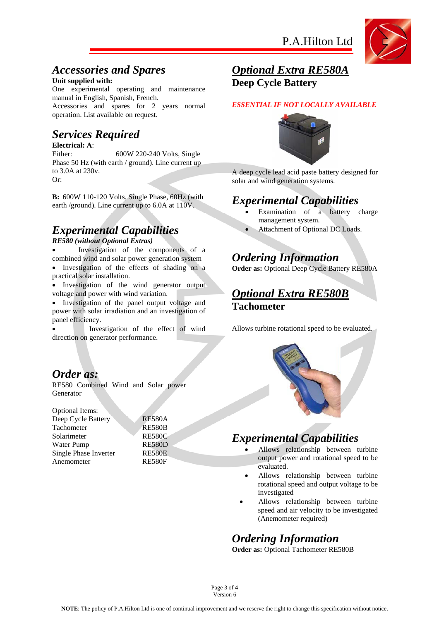

#### *Accessories and Spares*

#### **Unit supplied with:**

One experimental operating and maintenance manual in English, Spanish, French.

Accessories and spares for 2 years normal operation. List available on request.

## *Services Required*

#### **Electrical: A**:

Either: 600W 220-240 Volts, Single Phase 50 Hz (with earth / ground). Line current up to 3.0A at 230v. Or:

**B:** 600W 110-120 Volts, Single Phase, 60Hz (with earth /ground). Line current up to 6.0A at 110V.

## *Experimental Capabilities*

#### *RE580 (without Optional Extras)*

- Investigation of the components of a combined wind and solar power generation system Investigation of the effects of shading on a
- practical solar installation.
- Investigation of the wind generator output voltage and power with wind variation.

 Investigation of the panel output voltage and power with solar irradiation and an investigation of panel efficiency.

 Investigation of the effect of wind direction on generator performance.

#### *Order as:*

RE580 Combined Wind and Solar power Generator

Optional Items:

Deep Cycle Battery RE580A Tachometer RE580B Solarimeter RE580C Water Pump RE580D Single Phase Inverter RE580E Anemometer RE580F

#### *Optional Extra RE580A*  **Deep Cycle Battery**

#### *ESSENTIAL IF NOT LOCALLY AVAILABLE*



A deep cycle lead acid paste battery designed for solar and wind generation systems.

#### *Experimental Capabilities*

- Examination of a battery charge management system.
- Attachment of Optional DC Loads.

#### *Ordering Information*

**Order as:** Optional Deep Cycle Battery RE580A

#### *Optional Extra RE580B*  **Tachometer**

Allows turbine rotational speed to be evaluated.



### *Experimental Capabilities*

- Allows relationship between turbine output power and rotational speed to be evaluated.
- Allows relationship between turbine rotational speed and output voltage to be investigated
- Allows relationship between turbine speed and air velocity to be investigated (Anemometer required)

### *Ordering Information*

**Order as:** Optional Tachometer RE580B